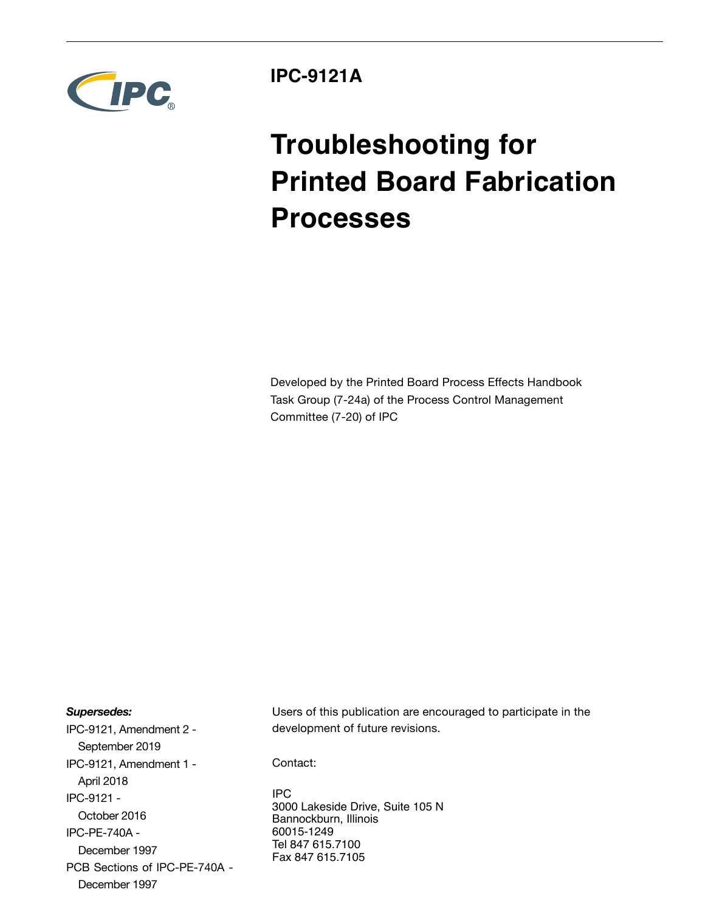

**IPC-9121A**

# **Troubleshooting for Printed Board Fabrication Processes**

Developed by the Printed Board Process Effects Handbook Task Group (7-24a) of the Process Control Management Committee (7-20) of IPC

## *Supersedes:*

IPC-9121, Amendment 2 - September 2019 IPC-9121, Amendment 1 - April 2018 IPC-9121 - October 2016 IPC-PE-740A - December 1997 PCB Sections of IPC-PE-740A - December 1997

Users of this publication are encouraged to participate in the development of future revisions.

Contact:

IPC 3000 Lakeside Drive, Suite 105 N Bannockburn, Illinois 60015-1249 Tel 847 615.7100 Fax 847 615.7105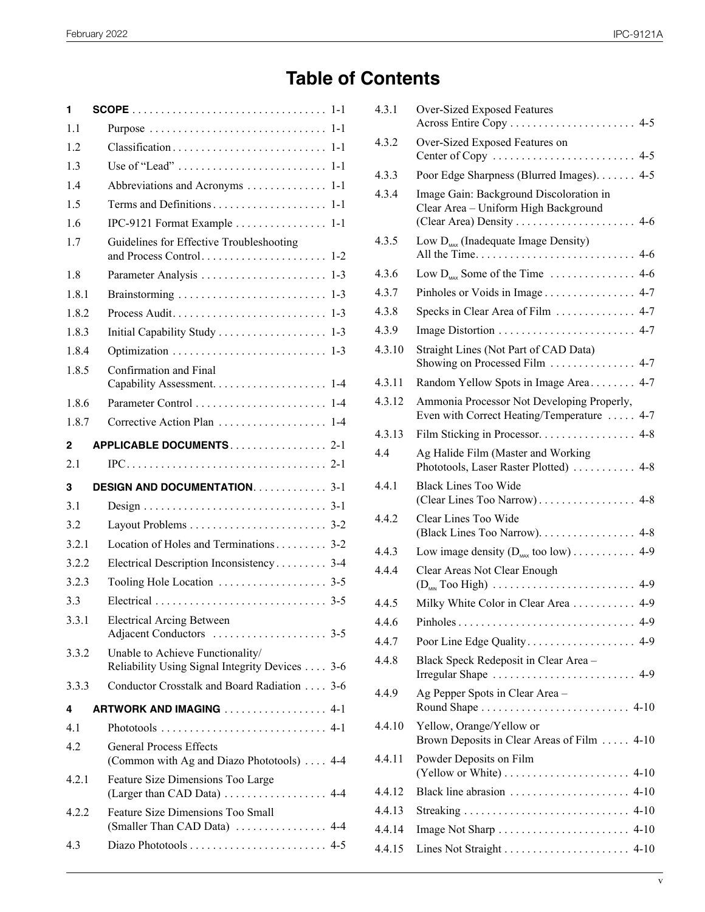## **Table of Contents**

| 1     |                                                                                                     |
|-------|-----------------------------------------------------------------------------------------------------|
| 1.1   |                                                                                                     |
| 1.2   |                                                                                                     |
| 1.3   |                                                                                                     |
| 1.4   | Abbreviations and Acronyms<br>$1 - 1$                                                               |
| 1.5   |                                                                                                     |
| 1.6   | IPC-9121 Format Example  1-1                                                                        |
| 1.7   | Guidelines for Effective Troubleshooting                                                            |
| 1.8   | $1 - 3$                                                                                             |
| 1.8.1 | Brainstorming<br>$1 - 3$                                                                            |
| 1.8.2 | Process Audit<br>$1 - 3$                                                                            |
| 1.8.3 | Initial Capability Study 1-3                                                                        |
| 1.8.4 | $1 - 3$                                                                                             |
| 1.8.5 | Confirmation and Final<br>$1 - 4$                                                                   |
| 1.8.6 |                                                                                                     |
| 1.8.7 | Corrective Action Plan  1-4                                                                         |
| 2     | APPLICABLE DOCUMENTS2-1                                                                             |
|       |                                                                                                     |
| 2.1   | $IPC \ldots \ldots \ldots \ldots \ldots \ldots \ldots \ldots \ldots \ldots \ldots \ldots \quad 2-1$ |
| 3     | <b>DESIGN AND DOCUMENTATION.</b> 3-1                                                                |
| 3.1   |                                                                                                     |
| 3.2   |                                                                                                     |
| 3.2.1 | Location of Holes and Terminations 3-2                                                              |
| 3.2.2 | Electrical Description Inconsistency 3-4                                                            |
| 3.2.3 |                                                                                                     |
| 3.3   |                                                                                                     |
| 3.3.1 | <b>Electrical Arcing Between</b>                                                                    |
| 3.3.2 | Unable to Achieve Functionality/<br>Reliability Using Signal Integrity Devices 3-6                  |
| 3.3.3 | Conductor Crosstalk and Board Radiation  3-6                                                        |
| 4     | ARTWORK AND IMAGING 4-1                                                                             |
| 4.1   |                                                                                                     |
| 4.2   | <b>General Process Effects</b><br>(Common with Ag and Diazo Phototools)  4-4                        |
| 4.2.1 | Feature Size Dimensions Too Large<br>(Larger than CAD Data)  4-4                                    |
| 4.2.2 | Feature Size Dimensions Too Small<br>(Smaller Than CAD Data)  4-4                                   |
| 4.3   |                                                                                                     |

| 4.3.1  | Over-Sized Exposed Features                                                                   |
|--------|-----------------------------------------------------------------------------------------------|
| 4.3.2  | Over-Sized Exposed Features on                                                                |
| 4.3.3  | Poor Edge Sharpness (Blurred Images). 4-5                                                     |
| 4.3.4  | Image Gain: Background Discoloration in<br>Clear Area - Uniform High Background               |
| 4.3.5  | Low $D_{\text{max}}$ (Inadequate Image Density)                                               |
| 4.3.6  |                                                                                               |
| 4.3.7  | Pinholes or Voids in Image 4-7                                                                |
| 4.3.8  | Specks in Clear Area of Film  4-7                                                             |
| 4.3.9  |                                                                                               |
| 4.3.10 | Straight Lines (Not Part of CAD Data)<br>Showing on Processed Film  4-7                       |
| 4.3.11 | Random Yellow Spots in Image Area 4-7                                                         |
| 4.3.12 | Ammonia Processor Not Developing Properly,<br>Even with Correct Heating/Temperature  4-7      |
| 4.3.13 | Film Sticking in Processor. 4-8                                                               |
| 4.4    | Ag Halide Film (Master and Working<br>Phototools, Laser Raster Plotted)  4-8                  |
| 4.4.1  | <b>Black Lines Too Wide</b>                                                                   |
| 4.4.2  | Clear Lines Too Wide<br>(Black Lines Too Narrow). 4-8                                         |
| 4.4.3  | Low image density $(D_{\text{max}}$ too low) 4-9                                              |
| 4.4.4  | Clear Areas Not Clear Enough                                                                  |
| 4.4.5  | Milky White Color in Clear Area 4-9                                                           |
| 4.4.6  |                                                                                               |
| 4.4.7  |                                                                                               |
| 4.4.8  | Black Speck Redeposit in Clear Area -<br>Irregular Shape  4-9                                 |
| 4.4.9  | Ag Pepper Spots in Clear Area -                                                               |
| 4.4.10 | Yellow, Orange/Yellow or<br>Brown Deposits in Clear Areas of Film 4-10                        |
| 4.4.11 | Powder Deposits on Film<br>(Yellow or White) $\dots \dots \dots \dots \dots \dots \dots$ 4-10 |
| 4.4.12 |                                                                                               |
| 4.4.13 |                                                                                               |
| 4.4.14 |                                                                                               |
| 4.4.15 |                                                                                               |
|        |                                                                                               |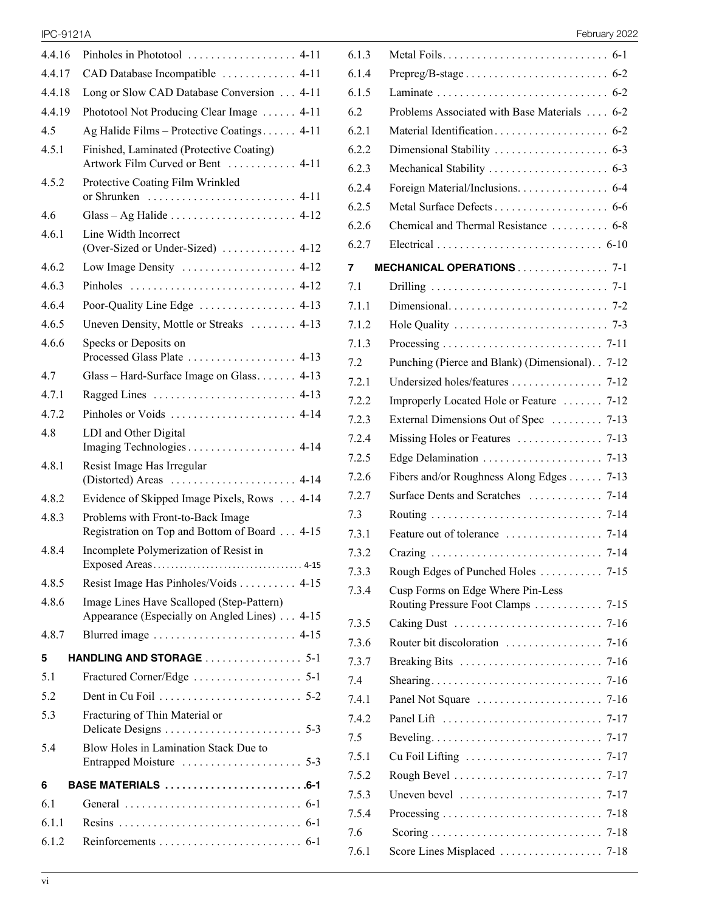| 4.4.16 | Pinholes in Phototool  4-11                                                               |  |  |  |  |
|--------|-------------------------------------------------------------------------------------------|--|--|--|--|
| 4.4.17 | CAD Database Incompatible  4-11                                                           |  |  |  |  |
| 4.4.18 | Long or Slow CAD Database Conversion  4-11                                                |  |  |  |  |
| 4.4.19 | Phototool Not Producing Clear Image  4-11                                                 |  |  |  |  |
| 4.5    | Ag Halide Films - Protective Coatings 4-11                                                |  |  |  |  |
| 4.5.1  | Finished, Laminated (Protective Coating)<br>Artwork Film Curved or Bent  4-11             |  |  |  |  |
| 4.5.2  | Protective Coating Film Wrinkled                                                          |  |  |  |  |
| 4.6    | Glass – Ag Halide $\ldots$ $\ldots$ $\ldots$ 4-12                                         |  |  |  |  |
| 4.6.1  | Line Width Incorrect<br>(Over-Sized or Under-Sized)  4-12                                 |  |  |  |  |
| 4.6.2  | Low Image Density  4-12                                                                   |  |  |  |  |
| 4.6.3  |                                                                                           |  |  |  |  |
| 4.6.4  |                                                                                           |  |  |  |  |
| 4.6.5  | Uneven Density, Mottle or Streaks  4-13                                                   |  |  |  |  |
| 4.6.6  | Specks or Deposits on<br>Processed Glass Plate  4-13                                      |  |  |  |  |
| 4.7    | Glass – Hard-Surface Image on Glass 4-13                                                  |  |  |  |  |
| 4.7.1  | Ragged Lines $\dots \dots \dots \dots \dots \dots \dots \dots$ 4-13                       |  |  |  |  |
| 4.7.2  |                                                                                           |  |  |  |  |
| 4.8    | LDI and Other Digital                                                                     |  |  |  |  |
| 4.8.1  | Resist Image Has Irregular                                                                |  |  |  |  |
| 4.8.2  | Evidence of Skipped Image Pixels, Rows  4-14                                              |  |  |  |  |
| 4.8.3  | Problems with Front-to-Back Image<br>Registration on Top and Bottom of Board  4-15        |  |  |  |  |
| 4.8.4  | Incomplete Polymerization of Resist in<br>Exposed Areas<br>$4 - 15$                       |  |  |  |  |
| 4.8.5  | Resist Image Has Pinholes/Voids  4-15                                                     |  |  |  |  |
| 4.8.6  | Image Lines Have Scalloped (Step-Pattern)<br>Appearance (Especially on Angled Lines) 4-15 |  |  |  |  |
| 4.8.7  |                                                                                           |  |  |  |  |
| 5      | HANDLING AND STORAGE  5-1                                                                 |  |  |  |  |
| 5.1    |                                                                                           |  |  |  |  |
| 5.2    |                                                                                           |  |  |  |  |
| 5.3    | Fracturing of Thin Material or<br>Delicate Designs<br>$5-3$                               |  |  |  |  |
| 5.4    | Blow Holes in Lamination Stack Due to                                                     |  |  |  |  |
| 6      | BASE MATERIALS 6-1                                                                        |  |  |  |  |
| 6.1    |                                                                                           |  |  |  |  |
| 6.1.1  |                                                                                           |  |  |  |  |
| 6.1.2  |                                                                                           |  |  |  |  |
|        |                                                                                           |  |  |  |  |

| <b>IPC-9121A</b> | Februarv 2022<br>______ |
|------------------|-------------------------|
|------------------|-------------------------|

| 6.1.3 |                                                                                   |          |
|-------|-----------------------------------------------------------------------------------|----------|
| 6.1.4 |                                                                                   |          |
| 6.1.5 |                                                                                   |          |
| 6.2   | Problems Associated with Base Materials  6-2                                      |          |
| 6.2.1 |                                                                                   |          |
| 6.2.2 |                                                                                   |          |
| 6.2.3 |                                                                                   |          |
| 6.2.4 | Foreign Material/Inclusions. 6-4                                                  |          |
| 6.2.5 |                                                                                   |          |
| 6.2.6 | Chemical and Thermal Resistance  6-8                                              |          |
| 6.2.7 |                                                                                   |          |
| 7     | MECHANICAL OPERATIONS 7-1                                                         |          |
| 7.1   |                                                                                   |          |
| 7.1.1 |                                                                                   |          |
| 7.1.2 | Hole Quality $\ldots \ldots \ldots \ldots \ldots \ldots \ldots \ldots \ldots$ 7-3 |          |
| 7.1.3 |                                                                                   |          |
| 7.2   | Punching (Pierce and Blank) (Dimensional). . 7-12                                 |          |
| 7.2.1 |                                                                                   |          |
| 7.2.2 | Improperly Located Hole or Feature  7-12                                          |          |
| 7.2.3 | External Dimensions Out of Spec  7-13                                             |          |
| 7.2.4 |                                                                                   |          |
| 7.2.5 |                                                                                   |          |
| 7.2.6 | Fibers and/or Roughness Along Edges 7-13                                          |          |
| 7.2.7 |                                                                                   |          |
| 7.3   |                                                                                   |          |
| 7.3.1 |                                                                                   |          |
| 7.3.2 |                                                                                   |          |
| 7.3.3 |                                                                                   |          |
| 7.3.4 | Cusp Forms on Edge Where Pin-Less<br>Routing Pressure Foot Clamps 7-15            |          |
| 7.3.5 |                                                                                   |          |
| 7.3.6 |                                                                                   |          |
| 7.3.7 | Breaking Bits                                                                     | 7-16     |
| 7.4   |                                                                                   | 7-16     |
| 7.4.1 | Panel Not Square                                                                  | $7 - 16$ |
| 7.4.2 | Panel Lift                                                                        | 7-17     |
| 7.5   |                                                                                   | 7-17     |
| 7.5.1 | Cu Foil Lifting                                                                   | 7-17     |
| 7.5.2 |                                                                                   | $7 - 17$ |
| 7.5.3 | Uneven bevel $\dots\dots\dots\dots\dots\dots\dots\dots\dots$                      | $7 - 17$ |
| 7.5.4 |                                                                                   | 7-18     |
| 7.6   |                                                                                   |          |
| 7.6.1 |                                                                                   |          |
|       |                                                                                   |          |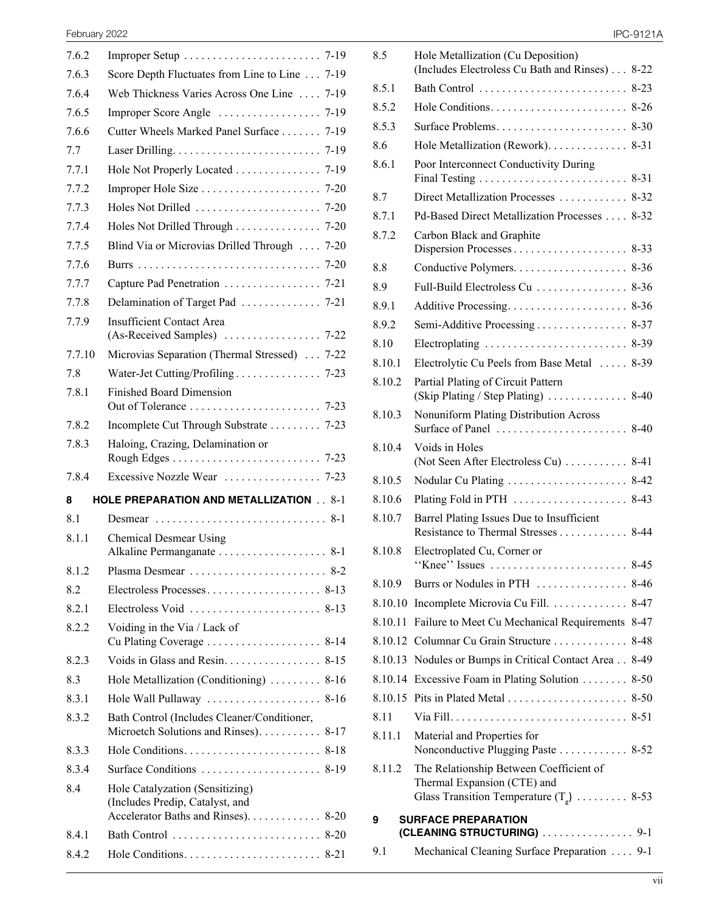| 7.6.2  |                                                                                                           |
|--------|-----------------------------------------------------------------------------------------------------------|
| 7.6.3  | Score Depth Fluctuates from Line to Line  7-19                                                            |
| 7.6.4  | Web Thickness Varies Across One Line  7-19                                                                |
| 7.6.5  |                                                                                                           |
| 7.6.6  | Cutter Wheels Marked Panel Surface 7-19                                                                   |
| 7.7    |                                                                                                           |
| 7.7.1  | Hole Not Properly Located 7-19                                                                            |
| 7.7.2  |                                                                                                           |
| 7.7.3  | Holes Not Drilled $\ldots \ldots \ldots \ldots \ldots \ldots \ldots$ 7-20                                 |
| 7.7.4  | Holes Not Drilled Through 7-20                                                                            |
| 7.7.5  | Blind Via or Microvias Drilled Through  7-20                                                              |
| 7.7.6  |                                                                                                           |
| 7.7.7  |                                                                                                           |
| 7.7.8  |                                                                                                           |
| 7.7.9  | <b>Insufficient Contact Area</b>                                                                          |
|        |                                                                                                           |
| 7.7.10 | Microvias Separation (Thermal Stressed)  7-22                                                             |
| 7.8    |                                                                                                           |
| 7.8.1  | <b>Finished Board Dimension</b>                                                                           |
| 7.8.2  | Incomplete Cut Through Substrate 7-23                                                                     |
| 7.8.3  | Haloing, Crazing, Delamination or                                                                         |
|        |                                                                                                           |
|        |                                                                                                           |
| 7.8.4  |                                                                                                           |
| 8      | <b>HOLE PREPARATION AND METALLIZATION 8-1</b>                                                             |
| 81     |                                                                                                           |
| 8.1.1  | <b>Chemical Desmear Using</b>                                                                             |
| 8.1.2  |                                                                                                           |
| 82     |                                                                                                           |
| 8.2.1  |                                                                                                           |
| 8.2.2  | Voiding in the Via / Lack of                                                                              |
| 8.2.3  | Voids in Glass and Resin.<br>8-15                                                                         |
| 8.3    | Hole Metallization (Conditioning)<br>$8 - 16$                                                             |
| 8.3.1  | Hole Wall Pullaway  8-16                                                                                  |
| 8.3.2  | Bath Control (Includes Cleaner/Conditioner,<br>Microetch Solutions and Rinses). 8-17                      |
| 8.3.3  |                                                                                                           |
| 8.3.4  |                                                                                                           |
| 8.4    | Hole Catalyzation (Sensitizing)<br>(Includes Predip, Catalyst, and<br>Accelerator Baths and Rinses). 8-20 |
| 8.4.1  |                                                                                                           |
| 8.4.2  |                                                                                                           |

|  | PC-9121A |  |
|--|----------|--|
|  |          |  |

| February 2022 |                                                                                      |                |                                                                                  | <b>IPC-9121A</b> |
|---------------|--------------------------------------------------------------------------------------|----------------|----------------------------------------------------------------------------------|------------------|
| 7.6.2         |                                                                                      | 8.5            | Hole Metallization (Cu Deposition)                                               |                  |
| 7.6.3         | Score Depth Fluctuates from Line to Line 7-19                                        |                | (Includes Electroless Cu Bath and Rinses) 8-22                                   |                  |
| 7.6.4         | Web Thickness Varies Across One Line  7-19                                           | 8.5.1          |                                                                                  |                  |
| 7.6.5         |                                                                                      | 8.5.2          |                                                                                  |                  |
| 7.6.6         | Cutter Wheels Marked Panel Surface 7-19                                              | 8.5.3          |                                                                                  |                  |
| 7.7           |                                                                                      | 8.6            |                                                                                  |                  |
| 7.7.1         | Hole Not Properly Located 7-19                                                       | 8.6.1          | Poor Interconnect Conductivity During                                            |                  |
| 7.7.2         |                                                                                      | 8.7            | Direct Metallization Processes  8-32                                             |                  |
| 7.7.3         |                                                                                      | 8.7.1          | Pd-Based Direct Metallization Processes 8-32                                     |                  |
| 7.7.4         | Holes Not Drilled Through 7-20                                                       | 8.7.2          | Carbon Black and Graphite                                                        |                  |
| 7.7.5         | Blind Via or Microvias Drilled Through  7-20                                         |                |                                                                                  |                  |
| 7.7.6         |                                                                                      | 8.8            |                                                                                  |                  |
| 7.7.7         |                                                                                      | 8.9            | Full-Build Electroless Cu  8-36                                                  |                  |
| 7.7.8         |                                                                                      | 8.9.1          |                                                                                  |                  |
| 7.7.9         | <b>Insufficient Contact Area</b>                                                     | 8.9.2          |                                                                                  |                  |
| 7.7.10        | Microvias Separation (Thermal Stressed)  7-22                                        | 8.10           |                                                                                  |                  |
| 7.8           |                                                                                      | 8.10.1         | Electrolytic Cu Peels from Base Metal  8-39                                      |                  |
| 7.8.1         | <b>Finished Board Dimension</b>                                                      | 8.10.2         | Partial Plating of Circuit Pattern<br>(Skip Plating / Step Plating)  8-40        |                  |
|               |                                                                                      | 8.10.3         | Nonuniform Plating Distribution Across                                           |                  |
| 7.8.2         | Incomplete Cut Through Substrate 7-23                                                |                |                                                                                  |                  |
| 7.8.3         | Haloing, Crazing, Delamination or                                                    | 8.10.4         | Voids in Holes<br>(Not Seen After Electroless Cu)  8-41                          |                  |
| 7.8.4         |                                                                                      | 8.10.5         |                                                                                  |                  |
| 8             | <b>HOLE PREPARATION AND METALLIZATION 8-1</b>                                        | 8.10.6         |                                                                                  |                  |
| 8.1           |                                                                                      | 8.10.7         | Barrel Plating Issues Due to Insufficient<br>Resistance to Thermal Stresses 8-44 |                  |
| 8.1.1         | Chemical Desmear Using                                                               | 8.10.8         | Electroplated Cu, Corner or                                                      |                  |
| 8.1.2         |                                                                                      |                |                                                                                  |                  |
| 8.2           |                                                                                      | 8.10.9         |                                                                                  |                  |
| 8.2.1         | Electroless Void $\ldots$ , 8-13                                                     |                | 8.10.10 Incomplete Microvia Cu Fill. 8-47                                        |                  |
| 8.2.2         | Voiding in the Via / Lack of                                                         |                | 8.10.11 Failure to Meet Cu Mechanical Requirements 8-47                          |                  |
|               |                                                                                      |                | 8.10.12 Columnar Cu Grain Structure 8-48                                         |                  |
| 8.2.3         | Voids in Glass and Resin. 8-15                                                       |                | 8.10.13 Nodules or Bumps in Critical Contact Area 8-49                           |                  |
| 8.3           | Hole Metallization (Conditioning)  8-16                                              |                | 8.10.14 Excessive Foam in Plating Solution  8-50                                 |                  |
| 8.3.1         | Hole Wall Pullaway  8-16                                                             |                |                                                                                  |                  |
| 8.3.2         | Bath Control (Includes Cleaner/Conditioner,<br>Microetch Solutions and Rinses). 8-17 | 8.11<br>8.11.1 | Material and Properties for                                                      |                  |
| 8.3.3         |                                                                                      |                | Nonconductive Plugging Paste  8-52                                               |                  |
| 8.3.4         |                                                                                      | 8.11.2         | The Relationship Between Coefficient of                                          |                  |
| 8.4           | Hole Catalyzation (Sensitizing)                                                      |                | Thermal Expansion (CTE) and                                                      |                  |
|               | (Includes Predip, Catalyst, and                                                      |                | Glass Transition Temperature $(T_p)$ 8-53                                        |                  |
|               | Accelerator Baths and Rinses). 8-20                                                  | 9              | <b>SURFACE PREPARATION</b>                                                       |                  |
| 8.4.1         |                                                                                      |                | (CLEANING STRUCTURING) 9-1                                                       |                  |
| 8.4.2         |                                                                                      | 9.1            | Mechanical Cleaning Surface Preparation  9-1                                     |                  |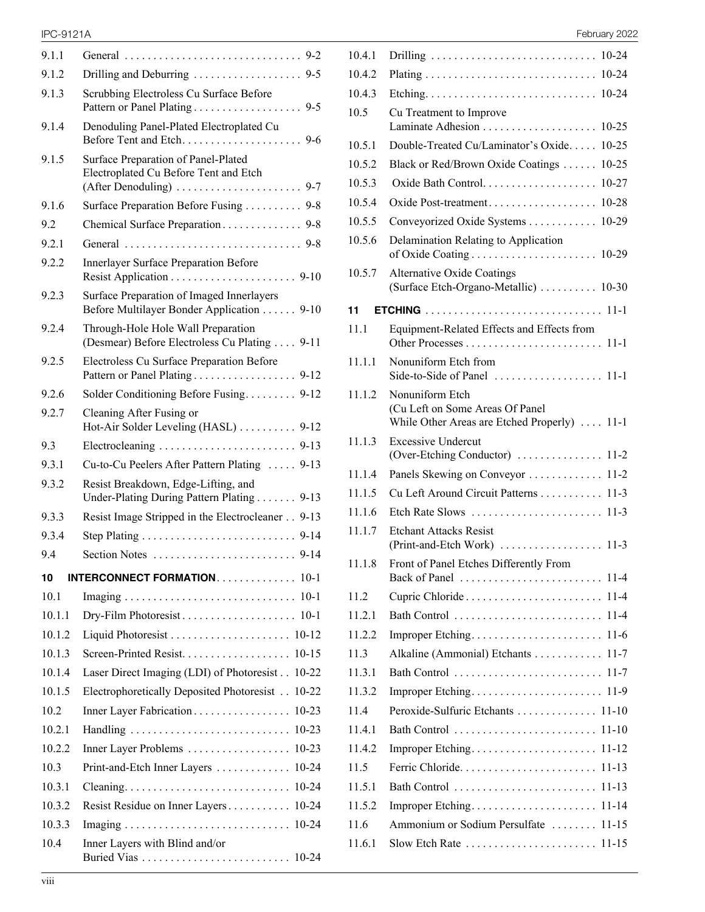| 9.1.1  |                                                                                        |
|--------|----------------------------------------------------------------------------------------|
| 9.1.2  |                                                                                        |
| 9.1.3  | Scrubbing Electroless Cu Surface Before                                                |
| 9.1.4  | Denoduling Panel-Plated Electroplated Cu                                               |
| 9.1.5  | Surface Preparation of Panel-Plated<br>Electroplated Cu Before Tent and Etch           |
| 9.1.6  | Surface Preparation Before Fusing 9-8                                                  |
| 9.2    | Chemical Surface Preparation 9-8                                                       |
| 9.2.1  |                                                                                        |
| 9.2.2  | Innerlayer Surface Preparation Before                                                  |
| 9.2.3  | Surface Preparation of Imaged Innerlayers<br>Before Multilayer Bonder Application 9-10 |
| 9.2.4  | Through-Hole Hole Wall Preparation<br>(Desmear) Before Electroless Cu Plating  9-11    |
| 9.2.5  | Electroless Cu Surface Preparation Before<br>Pattern or Panel Plating 9-12             |
| 9.2.6  | Solder Conditioning Before Fusing 9-12                                                 |
| 9.2.7  | Cleaning After Fusing or<br>Hot-Air Solder Leveling (HASL)  9-12                       |
| 9.3    |                                                                                        |
| 9.3.1  | Cu-to-Cu Peelers After Pattern Plating  9-13                                           |
| 9.3.2  | Resist Breakdown, Edge-Lifting, and<br>Under-Plating During Pattern Plating 9-13       |
| 9.3.3  | Resist Image Stripped in the Electrocleaner 9-13                                       |
| 9.3.4  |                                                                                        |
| 9.4    |                                                                                        |
| 10     | <b>INTERCONNECT FORMATION 10-1</b>                                                     |
| 10.1   |                                                                                        |
| 10.1.1 |                                                                                        |
| 10.1.2 |                                                                                        |
| 10.1.3 |                                                                                        |
| 10.1.4 | Laser Direct Imaging (LDI) of Photoresist 10-22                                        |
| 10.1.5 | Electrophoretically Deposited Photoresist<br>$10-22$                                   |
| 10.2   | Inner Layer Fabrication<br>$10 - 23$                                                   |
| 10.2.1 | $10 - 23$                                                                              |
| 10.2.2 | Inner Layer Problems<br>$10 - 23$                                                      |
| 10.3   |                                                                                        |
|        | $10 - 24$<br>Print-and-Etch Inner Layers                                               |
| 10.3.1 | $10 - 24$                                                                              |
| 10.3.2 | Resist Residue on Inner Layers<br>$10 - 24$                                            |
| 10.3.3 | 10-24                                                                                  |

IPC-9121A February 2022

| 10.4.1 | $10 - 24$                                                                                          |
|--------|----------------------------------------------------------------------------------------------------|
| 10.4.2 | $10 - 24$                                                                                          |
| 10.4.3 | Etching<br>10-24                                                                                   |
| 10.5   | Cu Treatment to Improve                                                                            |
|        | Laminate Adhesion<br>$10 - 25$                                                                     |
| 10.5.1 | Double-Treated Cu/Laminator's Oxide<br>$10 - 25$                                                   |
| 10.5.2 | 10-25<br>Black or Red/Brown Oxide Coatings                                                         |
| 10.5.3 | $10 - 27$                                                                                          |
| 10.5.4 | Oxide Post-treatment<br>10-28                                                                      |
| 10.5.5 | Conveyorized Oxide Systems<br>10-29                                                                |
| 10.5.6 | Delamination Relating to Application                                                               |
| 10.5.7 | <b>Alternative Oxide Coatings</b><br>(Surface Etch-Organo-Metallic)  10-30                         |
| 11     |                                                                                                    |
| 11.1   | Equipment-Related Effects and Effects from                                                         |
| 11.1.1 | Nonuniform Etch from                                                                               |
| 11.1.2 | Nonuniform Etch<br>(Cu Left on Some Areas Of Panel<br>While Other Areas are Etched Properly)  11-1 |
| 11.1.3 | <b>Excessive Undercut</b><br>(Over-Etching Conductor)<br>$11-2$                                    |
| 11.1.4 | Panels Skewing on Conveyor<br>$11 - 2$                                                             |
| 11.1.5 | Cu Left Around Circuit Patterns<br>$11-3$                                                          |
| 11.1.6 | Etch Rate Slows<br>$11-3$                                                                          |
| 11.1.7 | <b>Etchant Attacks Resist</b><br>(Print-and-Etch Work)<br>$11-3$                                   |
| 11.1.8 | Front of Panel Etches Differently From                                                             |
| 11.2   | Cupric Chloride<br>$11-4$                                                                          |
| 11.2.1 | Bath Control<br>11-4                                                                               |
| 11.2.2 | Improper Etching<br>11-6                                                                           |
| 11.3   | Alkaline (Ammonial) Etchants<br>$11 - 7$                                                           |
| 11.3.1 | Bath Control<br>$11 - 7$                                                                           |
| 11.3.2 | Improper Etching<br>$11-9$                                                                         |
| 11.4   | Peroxide-Sulfuric Etchants 11-10                                                                   |
| 11.4.1 | Bath Control<br>$11-10$                                                                            |
| 11.4.2 | 11-12                                                                                              |
| 11.5   | Ferric Chloride<br>$11 - 13$                                                                       |
| 11.5.1 | Bath Control<br>$11 - 13$                                                                          |
| 11.5.2 | Improper Etching<br>11-14                                                                          |
| 11.6   | Ammonium or Sodium Persulfate<br>$11-15$                                                           |
| 11.6.1 |                                                                                                    |
|        |                                                                                                    |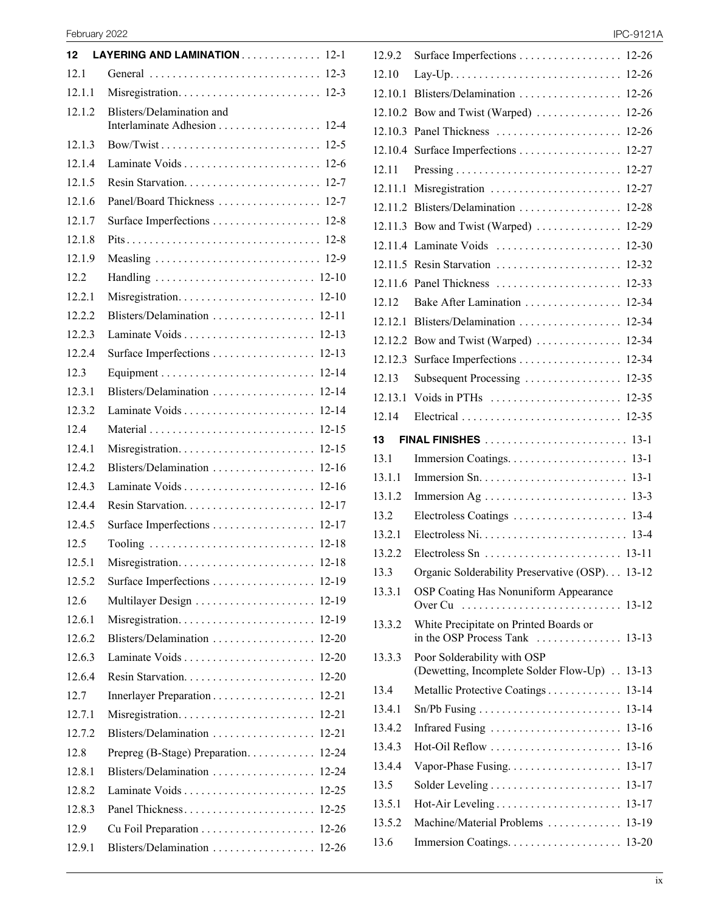| 12     | LAYERING AND LAMINATION 12-1   |           |
|--------|--------------------------------|-----------|
| 12.1   |                                |           |
| 12.1.1 |                                |           |
| 12.1.2 | Blisters/Delamination and      | $12 - 4$  |
| 12.1.3 |                                | $12 - 5$  |
| 12.1.4 |                                | $12-6$    |
| 12.1.5 |                                | $12 - 7$  |
| 12.1.6 | Panel/Board Thickness          | $12 - 7$  |
| 12.1.7 |                                | $12 - 8$  |
| 12.1.8 |                                | $12 - 8$  |
| 12.1.9 |                                |           |
| 12.2   |                                |           |
| 12.2.1 | Misregistration 12-10          |           |
| 12.2.2 | Blisters/Delamination  12-11   |           |
| 12.2.3 |                                |           |
| 12.2.4 | Surface Imperfections 12-13    |           |
| 12.3   |                                |           |
| 12.3.1 | Blisters/Delamination  12-14   |           |
| 12.3.2 |                                |           |
| 12.4   |                                | $12 - 15$ |
| 12.4.1 |                                | $12 - 15$ |
| 12.4.2 |                                |           |
| 12.4.3 |                                | $12 - 16$ |
| 12.4.4 |                                |           |
| 12.4.5 | Surface Imperfections 12-17    |           |
| 12.5   |                                |           |
| 12.5.1 |                                |           |
| 12.5.2 | Surface Imperfections 12-19    |           |
| 12.6   |                                | 12-19     |
| 12.6.1 |                                | 12-19     |
| 12.6.2 | Blisters/Delamination          | $12 - 20$ |
| 12.6.3 | Laminate Voids                 | 12-20     |
| 12.6.4 |                                | $12 - 20$ |
| 12.7   |                                | $12 - 21$ |
| 12.7.1 |                                | $12 - 21$ |
| 12.7.2 | Blisters/Delamination          | $12 - 21$ |
| 12.8   | Prepreg (B-Stage) Preparation. | 12-24     |
| 12.8.1 | Blisters/Delamination          | $12 - 24$ |
| 12.8.2 | Laminate Voids                 | 12-25     |
| 12.8.3 | Panel Thickness                | $12 - 25$ |
| 12.9   |                                | $12 - 26$ |
| 12.9.1 |                                |           |

|  | PC-9121A |  |
|--|----------|--|
|  |          |  |

| 12.9.2  | Surface Imperfections  12-26                                                                            |           |
|---------|---------------------------------------------------------------------------------------------------------|-----------|
| 12.10   |                                                                                                         |           |
| 12.10.1 | Blisters/Delamination  12-26                                                                            |           |
| 12.10.2 | Bow and Twist (Warped)  12-26                                                                           |           |
| 12.10.3 | Panel Thickness                                                                                         | $12 - 26$ |
| 12.10.4 | Surface Imperfections 12-27                                                                             |           |
| 12.11   |                                                                                                         | $12 - 27$ |
| 12.11.1 | Misregistration                                                                                         | $12 - 27$ |
| 12.11.2 |                                                                                                         |           |
| 12.11.3 | Bow and Twist (Warped)  12-29                                                                           |           |
| 12.11.4 |                                                                                                         |           |
| 12.11.5 | Resin Starvation                                                                                        | $12 - 32$ |
| 12.11.6 | Panel Thickness                                                                                         | 12-33     |
| 12.12   | Bake After Lamination                                                                                   | $12 - 34$ |
| 12.12.1 | Blisters/Delamination                                                                                   | $12 - 34$ |
|         | 12.12.2 Bow and Twist (Warped)  12-34                                                                   |           |
| 12.12.3 | Surface Imperfections 12-34                                                                             |           |
| 12.13   | Subsequent Processing  12-35                                                                            |           |
| 12.13.1 |                                                                                                         |           |
| 12.14   |                                                                                                         |           |
| 13.     |                                                                                                         |           |
|         | <b>FINAL FINISHES</b> 13-1                                                                              |           |
| 13.1    |                                                                                                         |           |
| 13.1.1  |                                                                                                         |           |
| 13.1.2  |                                                                                                         |           |
| 13.2    | Electroless Coatings  13-4                                                                              |           |
| 13.2.1  |                                                                                                         |           |
| 13.2.2  |                                                                                                         |           |
| 13.3    | Organic Solderability Preservative (OSP). 13-12                                                         |           |
| 13.3.1  | OSP Coating Has Nonuniform Appearance<br>Over Cu                                                        | $13 - 12$ |
| 13.3.2  | White Precipitate on Printed Boards or<br>in the OSP Process Tank $\dots \dots \dots \dots \dots 13-13$ |           |
| 13.3.3  | Poor Solderability with OSP<br>(Dewetting, Incomplete Solder Flow-Up)                                   | $13 - 13$ |
| 13.4    | Metallic Protective Coatings                                                                            | $13 - 14$ |
| 13.4.1  |                                                                                                         | $13 - 14$ |
| 13.4.2  | Infrared Fusing                                                                                         | $13 - 16$ |
| 13.4.3  | Hot-Oil Reflow                                                                                          | $13 - 16$ |
| 13.4.4  | Vapor-Phase Fusing                                                                                      | 13-17     |
| 13.5    |                                                                                                         | $13 - 17$ |
| 13.5.1  |                                                                                                         | 13-17     |
| 13.5.2  | Machine/Material Problems                                                                               | 13-19     |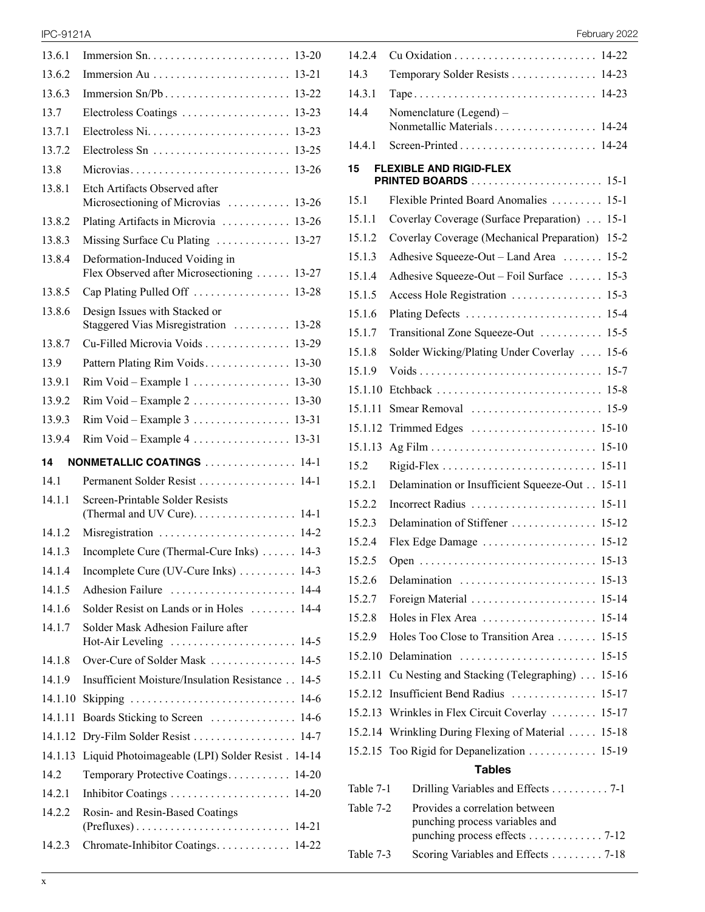| 13.6.1  | Immersion Sn. $\dots \dots \dots \dots \dots \dots \dots \dots \dots \dots \dots \dots \dots$ 13-20 |
|---------|-----------------------------------------------------------------------------------------------------|
| 13.6.2  |                                                                                                     |
| 13.6.3  |                                                                                                     |
| 13.7    | Electroless Coatings<br>$13 - 23$                                                                   |
| 1371    | $Electroless Ni. \ldots \ldots \ldots \ldots \ldots \ldots \ldots$<br>$13 - 23$                     |
| 13.7.2  | Electroless Sn $\dots\dots\dots\dots\dots\dots\dots\dots$<br>$13 - 25$                              |
| 13.8    | Microvias<br>$13 - 26$                                                                              |
| 13.8.1  | Etch Artifacts Observed after<br>Microsectioning of Microvias<br>$13 - 26$                          |
| 13.8.2  | Plating Artifacts in Microvia  13-26                                                                |
| 13.8.3  | Missing Surface Cu Plating  13-27                                                                   |
| 13.8.4  | Deformation-Induced Voiding in<br>Flex Observed after Microsectioning  13-27                        |
| 13.8.5  |                                                                                                     |
| 13.8.6  | Design Issues with Stacked or<br>Staggered Vias Misregistration  13-28                              |
| 13.8.7  | Cu-Filled Microvia Voids<br>13-29                                                                   |
| 13.9    | Pattern Plating Rim Voids<br>$13 - 30$                                                              |
| 13.9.1  | $13 - 30$                                                                                           |
| 13.9.2  | $13 - 30$                                                                                           |
| 13.9.3  | $13 - 31$                                                                                           |
| 13.9.4  | $Rim$ Void – Example 4 13-31                                                                        |
|         |                                                                                                     |
| 14      | NONMETALLIC COATINGS  14-1                                                                          |
| 14.1    | Permanent Solder Resist  14-1                                                                       |
| 14.1.1  | Screen-Printable Solder Resists<br>(Thermal and UV Cure). 14-1                                      |
| 14.1.2  | Misregistration  14-2                                                                               |
| 14.1.3  | Incomplete Cure (Thermal-Cure Inks)<br>$14-3$                                                       |
| 14.1.4  | Incomplete Cure (UV-Cure Inks)  14-3                                                                |
| 14.1.5  | Adhesion Failure  14-4                                                                              |
| 14.1.6  | Solder Resist on Lands or in Holes  14-4                                                            |
| 14.1.7  | Solder Mask Adhesion Failure after                                                                  |
| 14.1.8  | Over-Cure of Solder Mask  14-5                                                                      |
| 14.1.9  | Insufficient Moisture/Insulation Resistance 14-5                                                    |
| 14.1.10 | Skipping<br>14-6                                                                                    |
| 14.1.11 |                                                                                                     |
| 14.1.12 |                                                                                                     |
| 14.1.13 | Liquid Photoimageable (LPI) Solder Resist . 14-14                                                   |
| 14.2    | Temporary Protective Coatings<br>14-20                                                              |
| 14.2.1  |                                                                                                     |
| 14.2.2  | Rosin- and Resin-Based Coatings                                                                     |

## IPC-9121A February 2022

| 14.2.4    |                                                                                                   |
|-----------|---------------------------------------------------------------------------------------------------|
| 14.3      | Temporary Solder Resists  14-23                                                                   |
| 14.3.1    |                                                                                                   |
| 14.4      | Nomenclature (Legend) -<br>Nonmetallic Materials 14-24                                            |
| 14.4.1    |                                                                                                   |
| 15        | <b>FLEXIBLE AND RIGID-FLEX</b><br>$15 - 1$                                                        |
| 15.1      | Flexible Printed Board Anomalies<br>$15-1$                                                        |
| 15.1.1    | Coverlay Coverage (Surface Preparation)<br>$15 - 1$                                               |
| 15.1.2    | Coverlay Coverage (Mechanical Preparation)<br>$15 - 2$                                            |
| 15.1.3    | Adhesive Squeeze-Out - Land Area<br>$15 - 2$                                                      |
| 15.1.4    | Adhesive Squeeze-Out - Foil Surface<br>$15-3$                                                     |
| 15.1.5    | Access Hole Registration<br>$15-3$                                                                |
| 15.1.6    | Plating Defects<br>$15-4$                                                                         |
| 15.1.7    | Transitional Zone Squeeze-Out<br>$15 - 5$                                                         |
| 15.1.8    | Solder Wicking/Plating Under Coverlay<br>$15-6$                                                   |
| 15.1.9    | $15 - 7$                                                                                          |
| 15.1.10   | $15-8$                                                                                            |
| 15.1.11   | Smear Removal<br>$15-9$                                                                           |
| 15.1.12   |                                                                                                   |
| 15.1.13   |                                                                                                   |
| 15.2      | $15-11$                                                                                           |
| 15.2.1    | Delamination or Insufficient Squeeze-Out<br>$15 - 11$                                             |
| 15.2.2    | Incorrect Radius<br>$15 - 11$                                                                     |
| 15.2.3    | Delamination of Stiffener  15-12                                                                  |
| 15.2.4    |                                                                                                   |
| 15.2.5    |                                                                                                   |
| 15.2.6    | Delamination<br>$15-13$                                                                           |
| 15.2.7    | Foreign Material<br>15-14                                                                         |
| 15.2.8    | Holes in Flex Area<br>$15 - 14$                                                                   |
| 15.2.9    | Holes Too Close to Transition Area<br>$15 - 15$                                                   |
| 15.2.10   | Delamination<br>$15 - 15$                                                                         |
| 15.2.11   | Cu Nesting and Stacking (Telegraphing)<br>$15 - 16$                                               |
| 15.2.12   | Insufficient Bend Radius<br>$15 - 17$                                                             |
| 15.2.13   | Wrinkles in Flex Circuit Coverlay<br>15-17                                                        |
| 15.2.14   | Wrinkling During Flexing of Material<br>15-18                                                     |
| 15.2.15   | Too Rigid for Depanelization 15-19                                                                |
|           | Tables                                                                                            |
| Table 7-1 | Drilling Variables and Effects 7-1                                                                |
| Table 7-2 | Provides a correlation between<br>punching process variables and<br>punching process effects 7-12 |

Table 7-3 Scoring Variables and Effects . . . . . . . . . 7-18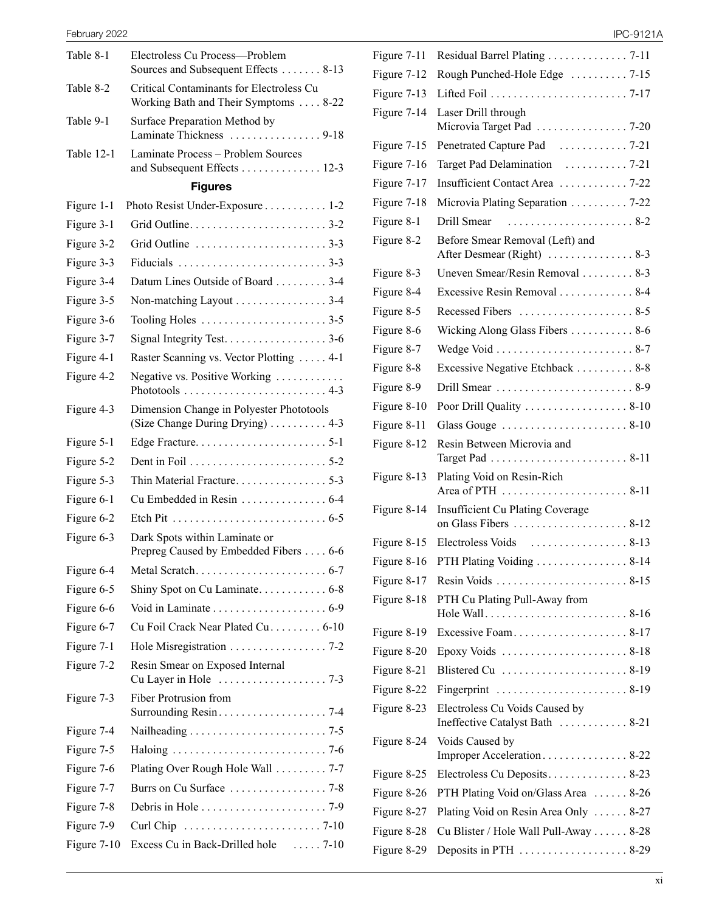| Table 8-1     | Electroless Cu Process-Problem<br>Sources and Subsequent Effects 8-13            |  |
|---------------|----------------------------------------------------------------------------------|--|
| Table 8-2     | Critical Contaminants for Electroless Cu<br>Working Bath and Their Symptoms 8-22 |  |
| Table 9-1     | Surface Preparation Method by<br>Laminate Thickness 9-18                         |  |
| Table 12-1    | Laminate Process - Problem Sources<br>and Subsequent Effects 12-3                |  |
|               | <b>Figures</b>                                                                   |  |
| Figure 1-1    | Photo Resist Under-Exposure 1-2                                                  |  |
| Figure 3-1    |                                                                                  |  |
| Figure 3-2    |                                                                                  |  |
| Figure 3-3    |                                                                                  |  |
| Figure 3-4    | Datum Lines Outside of Board 3-4                                                 |  |
| Figure 3-5    | Non-matching Layout 3-4                                                          |  |
| Figure 3-6    |                                                                                  |  |
| Figure 3-7    | Signal Integrity Test. 3-6                                                       |  |
| Figure 4-1    | Raster Scanning vs. Vector Plotting  4-1                                         |  |
| Figure 4-2    | Negative vs. Positive Working                                                    |  |
| Figure 4-3    | Dimension Change in Polyester Phototools<br>(Size Change During Drying) 4-3      |  |
| Figure 5-1    |                                                                                  |  |
| Figure 5-2    |                                                                                  |  |
| Figure 5-3    | Thin Material Fracture5-3                                                        |  |
| Figure 6-1    | Cu Embedded in Resin 6-4                                                         |  |
| Figure 6-2    |                                                                                  |  |
| Figure 6-3    | Dark Spots within Laminate or<br>Prepreg Caused by Embedded Fibers 6-6           |  |
| Figure 6-4    |                                                                                  |  |
| Figure 6-5    |                                                                                  |  |
| Figure 6-6    |                                                                                  |  |
| Figure 6-7    | Cu Foil Crack Near Plated Cu. 6-10                                               |  |
| Figure 7-1    | Hole Misregistration 7-2                                                         |  |
| Figure 7-2    | Resin Smear on Exposed Internal                                                  |  |
| Figure 7-3    | Fiber Protrusion from                                                            |  |
| Figure 7-4    |                                                                                  |  |
| Figure 7-5    |                                                                                  |  |
| Figure 7-6    | Plating Over Rough Hole Wall 7-7                                                 |  |
| Figure 7-7    |                                                                                  |  |
| Figure 7-8    | Debris in Hole $\dots \dots \dots \dots \dots \dots \dots \dots$ . 7-9           |  |
| Figure 7-9    |                                                                                  |  |
| Figure $7-10$ | Excess Cu in Back-Drilled hole  7-10                                             |  |
|               |                                                                                  |  |

|  | IPC-9121A |  |
|--|-----------|--|
|  |           |  |

| Figure 7-11   |                                                                     |
|---------------|---------------------------------------------------------------------|
| Figure 7-12   | Rough Punched-Hole Edge  7-15                                       |
| Figure 7-13   |                                                                     |
| Figure 7-14   | Laser Drill through<br>Microvia Target Pad 7-20                     |
| Figure 7-15   |                                                                     |
| Figure 7-16   |                                                                     |
| Figure 7-17   | Insufficient Contact Area  7-22                                     |
| Figure 7-18   | Microvia Plating Separation 7-22                                    |
| Figure 8-1    | Drill Smear  8-2                                                    |
| Figure 8-2    | Before Smear Removal (Left) and                                     |
|               |                                                                     |
| Figure 8-3    | Uneven Smear/Resin Removal 8-3                                      |
| Figure 8-4    | Excessive Resin Removal 8-4                                         |
| Figure 8-5    |                                                                     |
| Figure 8-6    | Wicking Along Glass Fibers 8-6                                      |
| Figure 8-7    |                                                                     |
| Figure 8-8    | Excessive Negative Etchback  8-8                                    |
| Figure 8-9    |                                                                     |
| Figure 8-10   | Poor Drill Quality  8-10                                            |
| Figure 8-11   |                                                                     |
| Figure 8-12   | Resin Between Microvia and                                          |
| Figure 8-13   | Plating Void on Resin-Rich                                          |
| Figure 8-14   | Insufficient Cu Plating Coverage                                    |
| Figure 8-15   |                                                                     |
| Figure $8-16$ | PTH Plating Voiding 8-14                                            |
| Figure 8-17   |                                                                     |
| Figure 8-18   | PTH Cu Plating Pull-Away from<br>Hole Wall8-16                      |
| Figure 8-19   | Excessive Foam8-17                                                  |
| Figure 8-20   |                                                                     |
| Figure 8-21   | Blistered Cu  8-19                                                  |
| Figure 8-22   | Fingerprint $\ldots \ldots \ldots \ldots \ldots \ldots \ldots 8-19$ |
| Figure 8-23   | Electroless Cu Voids Caused by<br>Ineffective Catalyst Bath  8-21   |
| Figure 8-24   | Voids Caused by<br>Improper Acceleration 8-22                       |
| Figure 8-25   | Electroless Cu Deposits 8-23                                        |
| Figure 8-26   | PTH Plating Void on/Glass Area  8-26                                |
| Figure 8-27   | Plating Void on Resin Area Only  8-27                               |
| Figure 8-28   | Cu Blister / Hole Wall Pull-Away 8-28                               |
| Figure 8-29   |                                                                     |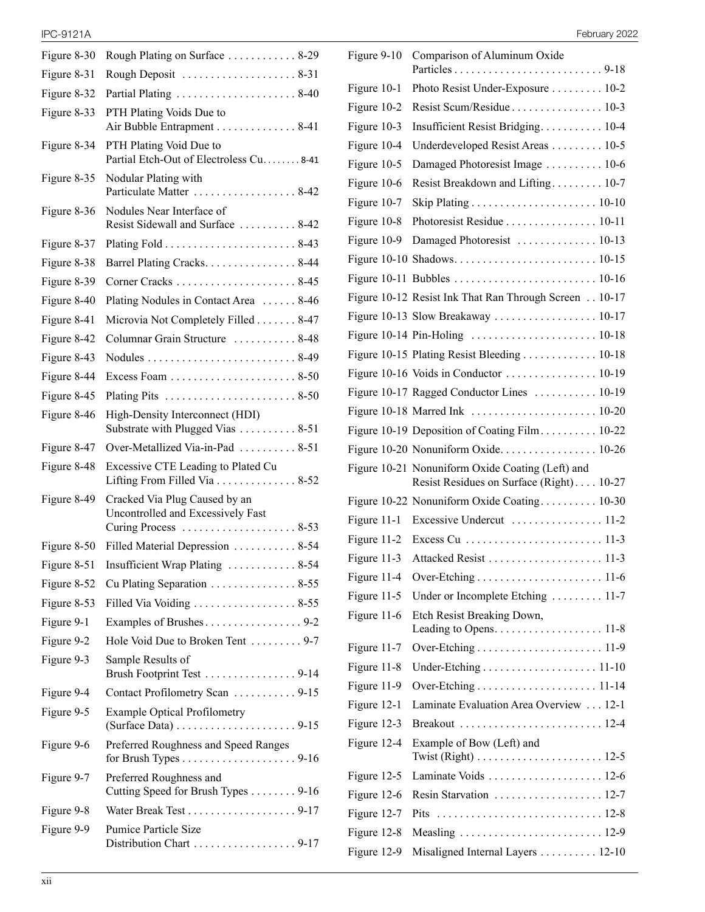| Figure 8-30 | Rough Plating on Surface  8-29                                                                                |
|-------------|---------------------------------------------------------------------------------------------------------------|
| Figure 8-31 | Rough Deposit  8-31                                                                                           |
| Figure 8-32 |                                                                                                               |
| Figure 8-33 | PTH Plating Voids Due to<br>Air Bubble Entrapment 8-41                                                        |
| Figure 8-34 | PTH Plating Void Due to<br>Partial Etch-Out of Electroless Cu. 8-41                                           |
| Figure 8-35 | Nodular Plating with<br>Particulate Matter  8-42                                                              |
| Figure 8-36 | Nodules Near Interface of<br>Resist Sidewall and Surface  8-42                                                |
| Figure 8-37 |                                                                                                               |
| Figure 8-38 | Barrel Plating Cracks. 8-44                                                                                   |
| Figure 8-39 |                                                                                                               |
| Figure 8-40 | Plating Nodules in Contact Area  8-46                                                                         |
| Figure 8-41 | Microvia Not Completely Filled 8-47                                                                           |
| Figure 8-42 | Columnar Grain Structure  8-48                                                                                |
| Figure 8-43 |                                                                                                               |
| Figure 8-44 |                                                                                                               |
| Figure 8-45 |                                                                                                               |
| Figure 8-46 | High-Density Interconnect (HDI)<br>Substrate with Plugged Vias  8-51                                          |
| Figure 8-47 | Over-Metallized Via-in-Pad  8-51                                                                              |
| Figure 8-48 | Excessive CTE Leading to Plated Cu<br>Lifting From Filled Via 8-52                                            |
| Figure 8-49 | Cracked Via Plug Caused by an<br>Uncontrolled and Excessively Fast<br>Curing Process  8-53                    |
| Figure 8-50 | Filled Material Depression 8-54                                                                               |
| Figure 8-51 | Insufficient Wrap Plating  8-54                                                                               |
| Figure 8-52 | Cu Plating Separation $\ldots \ldots \ldots \ldots 8-55$                                                      |
| Figure 8-53 | Filled Via Voiding 8-55                                                                                       |
| Figure 9-1  |                                                                                                               |
| Figure 9-2  | Hole Void Due to Broken Tent  9-7                                                                             |
| Figure 9-3  | Sample Results of<br>Brush Footprint Test 9-14                                                                |
| Figure 9-4  | Contact Profilometry Scan 9-15                                                                                |
| Figure 9-5  | <b>Example Optical Profilometry</b><br>(Surface Data) $\ldots \ldots \ldots \ldots \ldots \ldots \ldots$ 9-15 |
| Figure 9-6  | Preferred Roughness and Speed Ranges                                                                          |
| Figure 9-7  | Preferred Roughness and<br>Cutting Speed for Brush Types 9-16                                                 |
| Figure 9-8  | Water Break Test 9-17                                                                                         |
| Figure 9-9  | <b>Pumice Particle Size</b>                                                                                   |
|             |                                                                                                               |

| <b>IPC-9121A</b> | Februarv 2022<br>______ |
|------------------|-------------------------|
|------------------|-------------------------|

| Figure 9-10   | Comparison of Aluminum Oxide                                                                 |  |
|---------------|----------------------------------------------------------------------------------------------|--|
|               |                                                                                              |  |
| Figure 10-1   | Photo Resist Under-Exposure 10-2                                                             |  |
| Figure 10-2   |                                                                                              |  |
| Figure 10-3   | Insufficient Resist Bridging 10-4                                                            |  |
| Figure 10-4   | Underdeveloped Resist Areas 10-5                                                             |  |
| Figure 10-5   | Damaged Photoresist Image 10-6                                                               |  |
| Figure 10-6   | Resist Breakdown and Lifting 10-7                                                            |  |
| Figure 10-7   |                                                                                              |  |
| Figure 10-8   | Photoresist Residue 10-11                                                                    |  |
| Figure 10-9   | Damaged Photoresist  10-13                                                                   |  |
|               |                                                                                              |  |
|               |                                                                                              |  |
|               | Figure 10-12 Resist Ink That Ran Through Screen . 10-17                                      |  |
|               |                                                                                              |  |
|               |                                                                                              |  |
|               | Figure 10-15 Plating Resist Bleeding 10-18                                                   |  |
|               |                                                                                              |  |
|               | Figure 10-17 Ragged Conductor Lines  10-19                                                   |  |
|               |                                                                                              |  |
|               | Figure 10-19 Deposition of Coating Film 10-22                                                |  |
|               |                                                                                              |  |
|               | Figure 10-21 Nonuniform Oxide Coating (Left) and<br>Resist Residues on Surface (Right) 10-27 |  |
|               | Figure 10-22 Nonuniform Oxide Coating 10-30                                                  |  |
| Figure $11-1$ |                                                                                              |  |
| Figure $11-2$ |                                                                                              |  |
| Figure $11-3$ |                                                                                              |  |
| Figure 11-4   |                                                                                              |  |
| Figure 11-5   | Under or Incomplete Etching  11-7                                                            |  |
| Figure 11-6   | Etch Resist Breaking Down,                                                                   |  |
|               | Leading to Opens. 11-8                                                                       |  |
| Figure 11-7   |                                                                                              |  |
| Figure 11-8   |                                                                                              |  |
| Figure 11-9   |                                                                                              |  |
| Figure 12-1   | Laminate Evaluation Area Overview 12-1                                                       |  |
| Figure 12-3   |                                                                                              |  |
| Figure 12-4   | Example of Bow (Left) and                                                                    |  |
| Figure 12-5   |                                                                                              |  |
| Figure 12-6   | Resin Starvation  12-7                                                                       |  |
| Figure 12-7   | Pits                                                                                         |  |
| Figure 12-8   |                                                                                              |  |
| Figure 12-9   | Misaligned Internal Layers 12-10                                                             |  |
|               |                                                                                              |  |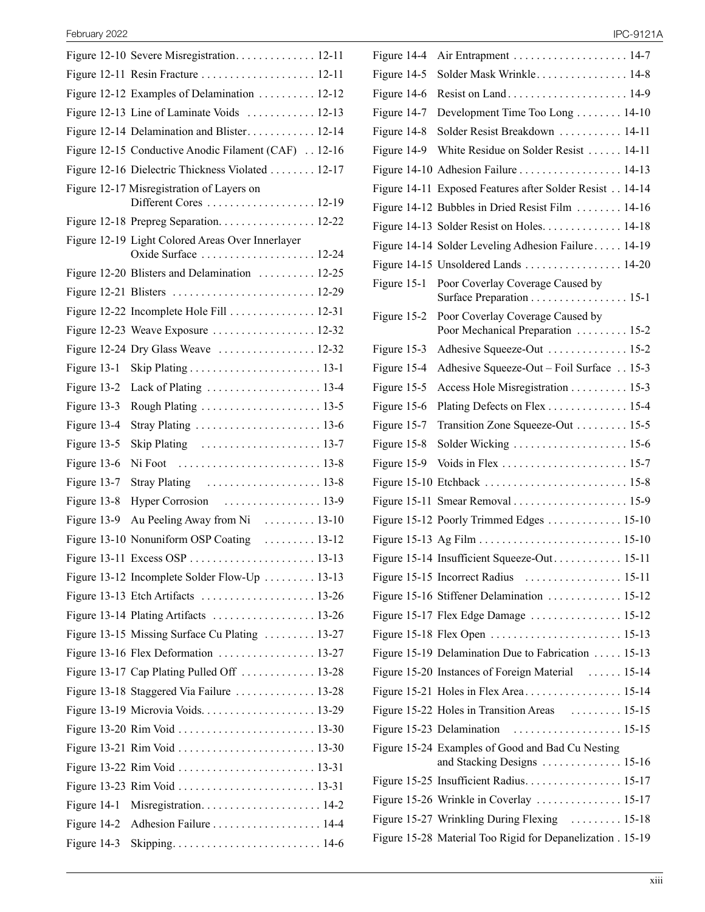|               | Figure 12-10 Severe Misregistration 12-11                           |
|---------------|---------------------------------------------------------------------|
|               | Figure 12-11 Resin Fracture  12-11                                  |
|               | Figure 12-12 Examples of Delamination 12-12                         |
|               | Figure 12-13 Line of Laminate Voids  12-13                          |
|               | Figure 12-14 Delamination and Blister 12-14                         |
|               | Figure 12-15 Conductive Anodic Filament (CAF)  12-16                |
|               | Figure 12-16 Dielectric Thickness Violated  12-17                   |
|               | Figure 12-17 Misregistration of Layers on<br>Different Cores  12-19 |
|               | Figure 12-18 Prepreg Separation 12-22                               |
|               | Figure 12-19 Light Colored Areas Over Innerlayer                    |
|               | Figure 12-20 Blisters and Delamination  12-25                       |
|               | Figure 12-21 Blisters  12-29                                        |
|               | Figure 12-22 Incomplete Hole Fill  12-31                            |
|               | Figure 12-23 Weave Exposure  12-32                                  |
|               | Figure 12-24 Dry Glass Weave  12-32                                 |
| Figure 13-1   |                                                                     |
| Figure 13-2   |                                                                     |
| Figure 13-3   |                                                                     |
| Figure 13-4   |                                                                     |
| Figure 13-5   | Skip Plating $\ldots \ldots \ldots \ldots \ldots \ldots 13-7$       |
| Figure 13-6   |                                                                     |
| Figure 13-7   |                                                                     |
| Figure 13-8   |                                                                     |
| Figure 13-9   | Au Peeling Away from Ni  13-10                                      |
|               | Figure 13-10 Nonuniform OSP Coating  13-12                          |
|               |                                                                     |
|               | Figure 13-12 Incomplete Solder Flow-Up  13-13                       |
|               |                                                                     |
|               |                                                                     |
|               | Figure 13-15 Missing Surface Cu Plating  13-27                      |
|               | Figure 13-16 Flex Deformation  13-27                                |
|               | Figure 13-17 Cap Plating Pulled Off  13-28                          |
|               | Figure 13-18 Staggered Via Failure  13-28                           |
|               |                                                                     |
|               |                                                                     |
|               |                                                                     |
|               |                                                                     |
|               |                                                                     |
| Figure 14-1   |                                                                     |
| Figure 14-2   |                                                                     |
| Figure $14-3$ |                                                                     |
|               |                                                                     |

| Figure 14-4 | Air Entrapment  14-7                                                 |
|-------------|----------------------------------------------------------------------|
| Figure 14-5 | Solder Mask Wrinkle 14-8                                             |
| Figure 14-6 |                                                                      |
| Figure 14-7 | Development Time Too Long 14-10                                      |
| Figure 14-8 | Solder Resist Breakdown  14-11                                       |
| Figure 14-9 | White Residue on Solder Resist  14-11                                |
|             | Figure 14-10 Adhesion Failure 14-13                                  |
|             | Figure 14-11 Exposed Features after Solder Resist 14-14              |
|             | Figure 14-12 Bubbles in Dried Resist Film  14-16                     |
|             | Figure 14-13 Solder Resist on Holes 14-18                            |
|             | Figure 14-14 Solder Leveling Adhesion Failure 14-19                  |
|             | Figure 14-15 Unsoldered Lands  14-20                                 |
| Figure 15-1 | Poor Coverlay Coverage Caused by<br>Surface Preparation 15-1         |
| Figure 15-2 | Poor Coverlay Coverage Caused by<br>Poor Mechanical Preparation 15-2 |
| Figure 15-3 | Adhesive Squeeze-Out  15-2                                           |
| Figure 15-4 | Adhesive Squeeze-Out - Foil Surface  15-3                            |
| Figure 15-5 | Access Hole Misregistration 15-3                                     |
| Figure 15-6 | Plating Defects on Flex 15-4                                         |
| Figure 15-7 | Transition Zone Squeeze-Out 15-5                                     |
| Figure 15-8 |                                                                      |
| Figure 15-9 |                                                                      |
|             |                                                                      |
|             |                                                                      |
|             | Figure 15-12 Poorly Trimmed Edges 15-10                              |
|             |                                                                      |
|             | Figure 15-14 Insufficient Squeeze-Out 15-11                          |
|             | Figure 15-15 Incorrect Radius  15-11                                 |
|             | Figure 15-16 Stiffener Delamination  15-12                           |
|             | Figure 15-17 Flex Edge Damage  15-12                                 |
|             |                                                                      |
|             | Figure 15-19 Delamination Due to Fabrication  15-13                  |
|             | Figure 15-20 Instances of Foreign Material  15-14                    |
|             |                                                                      |
|             | Figure 15-22 Holes in Transition Areas  15-15                        |
|             |                                                                      |
|             | Figure 15-24 Examples of Good and Bad Cu Nesting                     |
|             |                                                                      |
|             | Figure 15-26 Wrinkle in Coverlay  15-17                              |
|             | Figure 15-27 Wrinkling During Flexing  15-18                         |
|             | Figure 15-28 Material Too Rigid for Depanelization . 15-19           |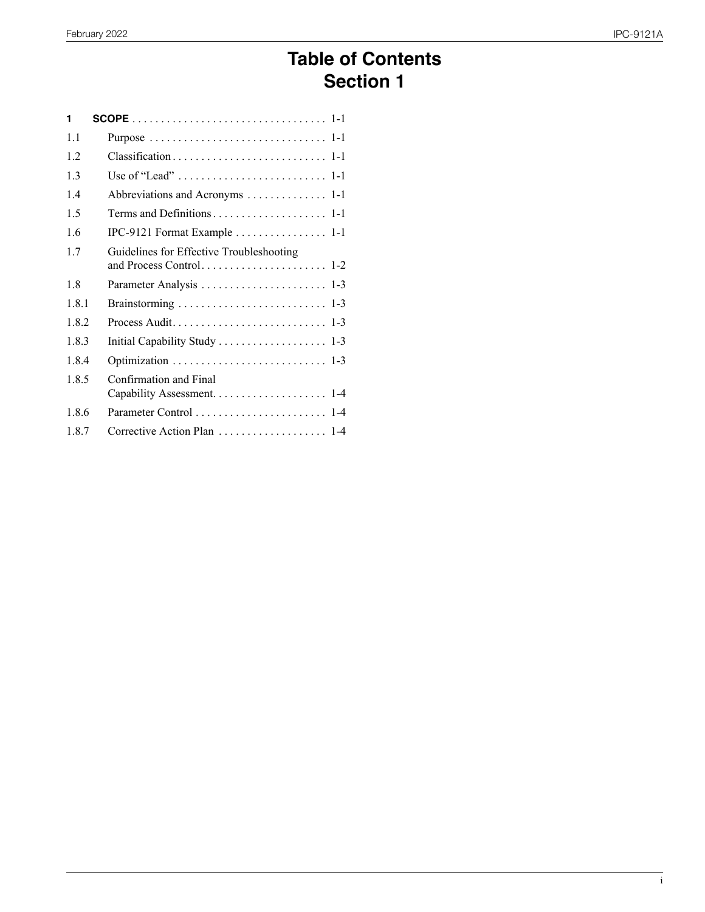## **Table of Contents Section 1**

| 1     |                                          |
|-------|------------------------------------------|
| 1.1   |                                          |
| 1.2   |                                          |
| 1.3   |                                          |
| 14    | Abbreviations and Acronyms 1-1           |
| 1.5   |                                          |
| 16    | IPC-9121 Format Example 1-1              |
| 1.7   | Guidelines for Effective Troubleshooting |
| 1.8   |                                          |
| 181   |                                          |
| 1.8.2 |                                          |
| 183   |                                          |
| 184   |                                          |
| 185   | Confirmation and Final                   |
| 1.8.6 | Parameter Control  1-4                   |
| 187   | Corrective Action Plan  1-4              |
|       |                                          |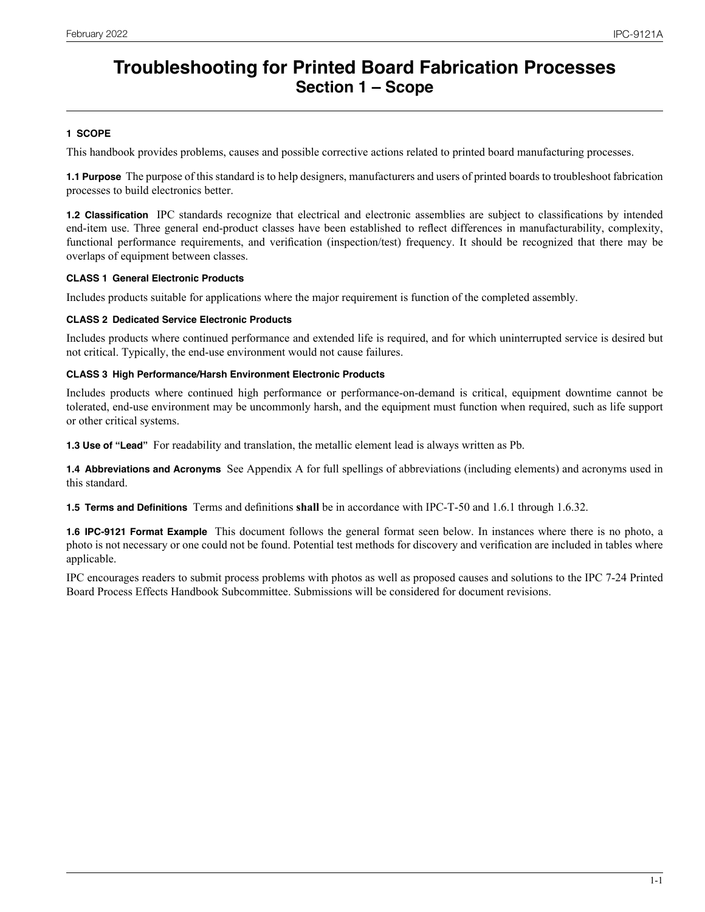## **Troubleshooting for Printed Board Fabrication Processes Section 1 – Scope**

## **1 SCOPE**

This handbook provides problems, causes and possible corrective actions related to printed board manufacturing processes.

**1.1 Purpose** The purpose of this standard is to help designers, manufacturers and users of printed boards to troubleshoot fabrication processes to build electronics better.

**1.2 Classification** IPC standards recognize that electrical and electronic assemblies are subject to classifications by intended end-item use. Three general end-product classes have been established to reflect differences in manufacturability, complexity, functional performance requirements, and verification (inspection/test) frequency. It should be recognized that there may be overlaps of equipment between classes.

## **CLASS 1 General Electronic Products**

Includes products suitable for applications where the major requirement is function of the completed assembly.

### **CLASS 2 Dedicated Service Electronic Products**

Includes products where continued performance and extended life is required, and for which uninterrupted service is desired but not critical. Typically, the end-use environment would not cause failures.

### **CLASS 3 High Performance/Harsh Environment Electronic Products**

Includes products where continued high performance or performance-on-demand is critical, equipment downtime cannot be tolerated, end-use environment may be uncommonly harsh, and the equipment must function when required, such as life support or other critical systems.

**1.3 Use of "Lead"** For readability and translation, the metallic element lead is always written as Pb.

**1.4 Abbreviations and Acronyms** See Appendix A for full spellings of abbreviations (including elements) and acronyms used in this standard.

**1.5 Terms and Definitions** Terms and definitions **shall** be in accordance with IPC-T-50 and 1.6.1 through 1.6.32.

**1.6 IPC-9121 Format Example** This document follows the general format seen below. In instances where there is no photo, a photo is not necessary or one could not be found. Potential test methods for discovery and verification are included in tables where applicable.

IPC encourages readers to submit process problems with photos as well as proposed causes and solutions to the IPC 7-24 Printed Board Process Effects Handbook Subcommittee. Submissions will be considered for document revisions.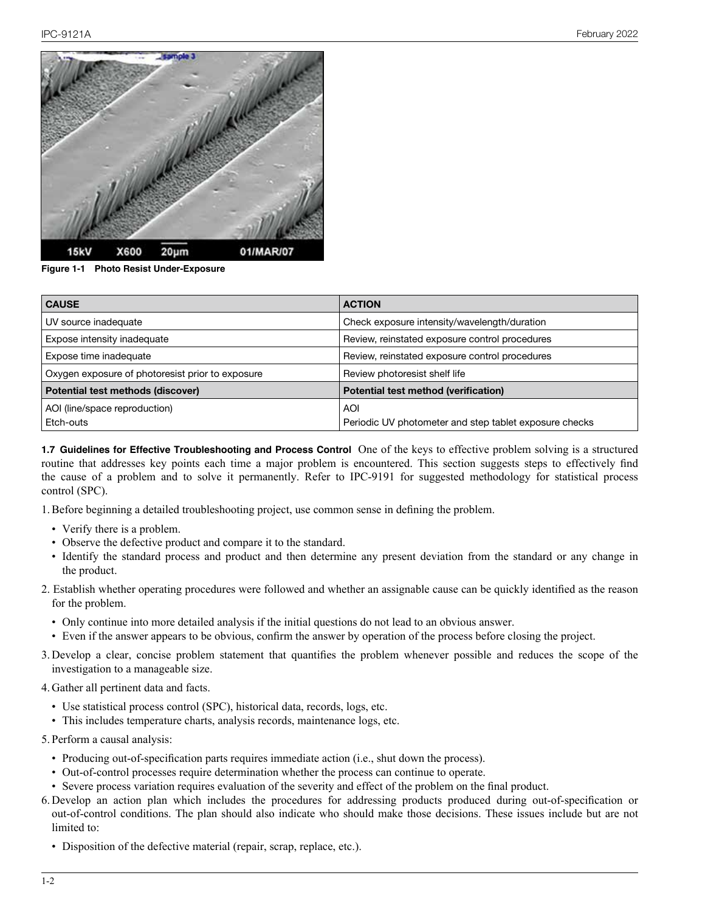

**Figure 1-1 Photo Resist Under-Exposure**

| <b>CAUSE</b>                                     | <b>ACTION</b>                                          |
|--------------------------------------------------|--------------------------------------------------------|
| UV source inadequate                             | Check exposure intensity/wavelength/duration           |
| Expose intensity inadequate                      | Review, reinstated exposure control procedures         |
| Expose time inadequate                           | Review, reinstated exposure control procedures         |
| Oxygen exposure of photoresist prior to exposure | Review photoresist shelf life                          |
| Potential test methods (discover)                | Potential test method (verification)                   |
| AOI (line/space reproduction)                    | AOI                                                    |
| Etch-outs                                        | Periodic UV photometer and step tablet exposure checks |

**1.7 Guidelines for Effective Troubleshooting and Process Control** One of the keys to effective problem solving is a structured routine that addresses key points each time a major problem is encountered. This section suggests steps to effectively find the cause of a problem and to solve it permanently. Refer to IPC-9191 for suggested methodology for statistical process control (SPC).

1.Before beginning a detailed troubleshooting project, use common sense in defining the problem.

- Verify there is a problem.
- Observe the defective product and compare it to the standard.
- Identify the standard process and product and then determine any present deviation from the standard or any change in the product.
- 2. Establish whether operating procedures were followed and whether an assignable cause can be quickly identified as the reason for the problem.
	- Only continue into more detailed analysis if the initial questions do not lead to an obvious answer.
	- •  Even if the answer appears to be obvious, confirm the answer by operation of the process before closing the project.
- 3. Develop a clear, concise problem statement that quantifies the problem whenever possible and reduces the scope of the investigation to a manageable size.
- 4. Gather all pertinent data and facts.
	- Use statistical process control (SPC), historical data, records, logs, etc.
	- This includes temperature charts, analysis records, maintenance logs, etc.
- 5. Perform a causal analysis:
	- Producing out-of-specification parts requires immediate action (i.e., shut down the process).
	- Out-of-control processes require determination whether the process can continue to operate.
	- Severe process variation requires evaluation of the severity and effect of the problem on the final product.
- 6. Develop an action plan which includes the procedures for addressing products produced during out-of-specification or out-of-control conditions. The plan should also indicate who should make those decisions. These issues include but are not limited to:
	- Disposition of the defective material (repair, scrap, replace, etc.).